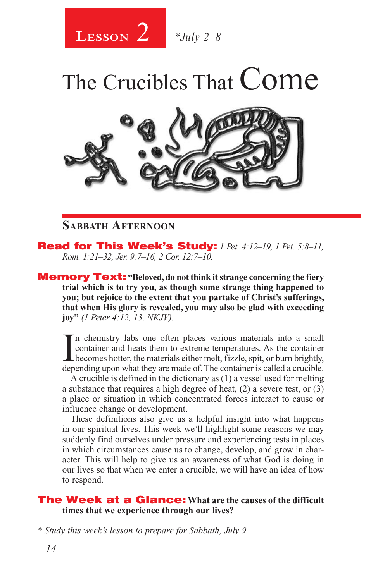

# The Crucibles That Come



### **Sabbath Afternoon**

Read for This Week's Study: *1 Pet. 4:12–19, 1 Pet. 5:8–11, Rom. 1:21–32, Jer. 9:7–16, 2 Cor. 12:7–10.*

**Memory Text:** "Beloved, do not think it strange concerning the fiery **trial which is to try you, as though some strange thing happened to you; but rejoice to the extent that you partake of Christ's sufferings, that when His glory is revealed, you may also be glad with exceeding joy"** *(1 Peter 4:12, 13, NKJV).* 

In chemistry labs one often places various materials into a small<br>container and heats them to extreme temperatures. As the container<br>becomes hotter, the materials either melt, fizzle, spit, or burn brightly,<br>depending upon n chemistry labs one often places various materials into a small container and heats them to extreme temperatures. As the container depending upon what they are made of. The container is called a crucible.

A crucible is defined in the dictionary as (1) a vessel used for melting a substance that requires a high degree of heat, (2) a severe test, or (3) a place or situation in which concentrated forces interact to cause or influence change or development.

These definitions also give us a helpful insight into what happens in our spiritual lives. This week we'll highlight some reasons we may suddenly find ourselves under pressure and experiencing tests in places in which circumstances cause us to change, develop, and grow in character. This will help to give us an awareness of what God is doing in our lives so that when we enter a crucible, we will have an idea of how to respond.

#### The Week at a Glance: **What are the causes of the difficult times that we experience through our lives?**

*\* Study this week's lesson to prepare for Sabbath, July 9.*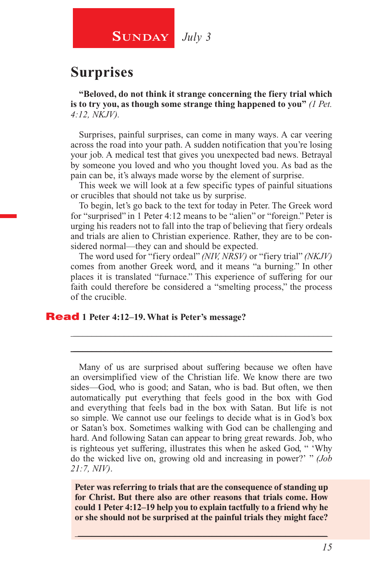**SUNDAY** July 3

# **Surprises**

**"Beloved, do not think it strange concerning the fiery trial which is to try you, as though some strange thing happened to you"** *(1 Pet. 4:12, NKJV).*

Surprises, painful surprises, can come in many ways. A car veering across the road into your path. A sudden notification that you're losing your job. A medical test that gives you unexpected bad news. Betrayal by someone you loved and who you thought loved you. As bad as the pain can be, it's always made worse by the element of surprise.

This week we will look at a few specific types of painful situations or crucibles that should not take us by surprise.

To begin, let's go back to the text for today in Peter. The Greek word for "surprised" in 1 Peter 4:12 means to be "alien" or "foreign." Peter is urging his readers not to fall into the trap of believing that fiery ordeals and trials are alien to Christian experience. Rather, they are to be considered normal—they can and should be expected.

The word used for "fiery ordeal" *(NIV, NRSV)* or "fiery trial" *(NKJV)*  comes from another Greek word, and it means "a burning." In other places it is translated "furnace." This experience of suffering for our faith could therefore be considered a "smelting process," the process of the crucible.

\_\_\_\_\_\_\_\_\_\_\_\_\_\_\_\_\_\_\_\_\_\_\_\_\_\_\_\_\_\_\_\_\_\_\_\_\_\_\_\_\_\_\_\_\_\_\_\_\_\_\_\_\_\_\_\_ \_\_\_\_\_\_\_\_\_\_\_\_\_\_\_\_\_\_\_\_\_\_\_\_\_\_\_\_\_\_\_\_\_\_\_\_\_\_\_\_\_\_\_\_\_\_\_\_\_\_\_\_\_\_\_\_

#### Read **1 Peter 4:12–19. What is Peter's message?**

Many of us are surprised about suffering because we often have an oversimplified view of the Christian life. We know there are two sides—God, who is good; and Satan, who is bad. But often, we then automatically put everything that feels good in the box with God and everything that feels bad in the box with Satan. But life is not so simple. We cannot use our feelings to decide what is in God's box or Satan's box. Sometimes walking with God can be challenging and hard. And following Satan can appear to bring great rewards. Job, who is righteous yet suffering, illustrates this when he asked God, " 'Why do the wicked live on, growing old and increasing in power?' " *(Job 21:7, NIV)*.

**Peter was referring to trials that are the consequence of standing up for Christ. But there also are other reasons that trials come. How could 1 Peter 4:12–19 help you to explain tactfully to a friend why he or she should not be surprised at the painful trials they might face?**

 $\_$  , and the set of the set of the set of the set of the set of the set of the set of the set of the set of the set of the set of the set of the set of the set of the set of the set of the set of the set of the set of th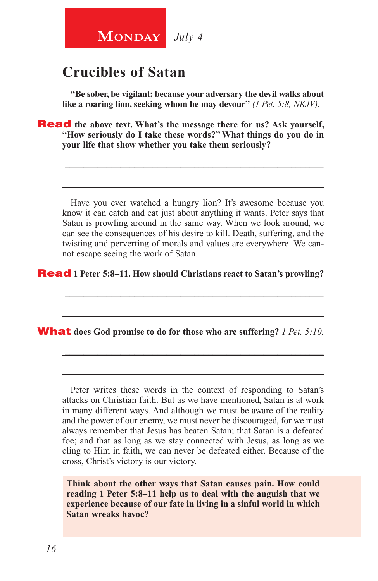

# **Crucibles of Satan**

**"Be sober, be vigilant; because your adversary the devil walks about like a roaring lion, seeking whom he may devour"** *(1 Pet. 5:8, NKJV).*

**Read** the above text. What's the message there for us? Ask yourself, **"How seriously do I take these words?" What things do you do in your life that show whether you take them seriously?**

Have you ever watched a hungry lion? It's awesome because you know it can catch and eat just about anything it wants. Peter says that Satan is prowling around in the same way. When we look around, we can see the consequences of his desire to kill. Death, suffering, and the twisting and perverting of morals and values are everywhere. We cannot escape seeing the work of Satan.

\_\_\_\_\_\_\_\_\_\_\_\_\_\_\_\_\_\_\_\_\_\_\_\_\_\_\_\_\_\_\_\_\_\_\_\_\_\_\_\_\_\_\_\_\_\_\_\_\_\_\_\_\_\_\_\_

\_\_\_\_\_\_\_\_\_\_\_\_\_\_\_\_\_\_\_\_\_\_\_\_\_\_\_\_\_\_\_\_\_\_\_\_\_\_\_\_\_\_\_\_\_\_\_\_\_\_\_\_\_\_\_\_

\_\_\_\_\_\_\_\_\_\_\_\_\_\_\_\_\_\_\_\_\_\_\_\_\_\_\_\_\_\_\_\_\_\_\_\_\_\_\_\_\_\_\_\_\_\_\_\_\_\_\_\_\_\_\_\_

\_\_\_\_\_\_\_\_\_\_\_\_\_\_\_\_\_\_\_\_\_\_\_\_\_\_\_\_\_\_\_\_\_\_\_\_\_\_\_\_\_\_\_\_\_\_\_\_\_\_\_\_\_\_\_\_

\_\_\_\_\_\_\_\_\_\_\_\_\_\_\_\_\_\_\_\_\_\_\_\_\_\_\_\_\_\_\_\_\_\_\_\_\_\_\_\_\_\_\_\_\_\_\_\_\_\_\_\_\_\_\_\_

\_\_\_\_\_\_\_\_\_\_\_\_\_\_\_\_\_\_\_\_\_\_\_\_\_\_\_\_\_\_\_\_\_\_\_\_\_\_\_\_\_\_\_\_\_\_\_\_\_\_\_\_\_\_\_\_

Read **1 Peter 5:8–11. How should Christians react to Satan's prowling?**

#### What **does God promise to do for those who are suffering?** *1 Pet. 5:10.*

Peter writes these words in the context of responding to Satan's attacks on Christian faith. But as we have mentioned, Satan is at work in many different ways. And although we must be aware of the reality and the power of our enemy, we must never be discouraged, for we must always remember that Jesus has beaten Satan; that Satan is a defeated foe; and that as long as we stay connected with Jesus, as long as we cling to Him in faith, we can never be defeated either. Because of the cross, Christ's victory is our victory.

**Think about the other ways that Satan causes pain. How could reading 1 Peter 5:8–11 help us to deal with the anguish that we experience because of our fate in living in a sinful world in which Satan wreaks havoc?**

\_\_\_\_\_\_\_\_\_\_\_\_\_\_\_\_\_\_\_\_\_\_\_\_\_\_\_\_\_\_\_\_\_\_\_\_\_\_\_\_\_\_\_\_\_\_\_\_\_\_\_\_\_\_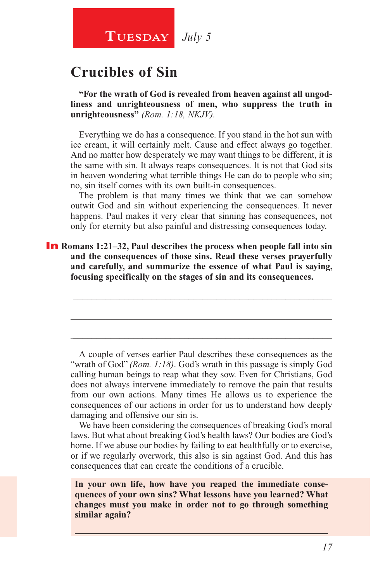# **TUESDAY** July 5

# **Crucibles of Sin**

**"For the wrath of God is revealed from heaven against all ungodliness and unrighteousness of men, who suppress the truth in unrighteousness"** *(Rom. 1:18, NKJV).*

Everything we do has a consequence. If you stand in the hot sun with ice cream, it will certainly melt. Cause and effect always go together. And no matter how desperately we may want things to be different, it is the same with sin. It always reaps consequences. It is not that God sits in heaven wondering what terrible things He can do to people who sin; no, sin itself comes with its own built-in consequences.

The problem is that many times we think that we can somehow outwit God and sin without experiencing the consequences. It never happens. Paul makes it very clear that sinning has consequences, not only for eternity but also painful and distressing consequences today.

\_\_\_\_\_\_\_\_\_\_\_\_\_\_\_\_\_\_\_\_\_\_\_\_\_\_\_\_\_\_\_\_\_\_\_\_\_\_\_\_\_\_\_\_\_\_\_\_\_\_\_\_\_\_\_\_

\_\_\_\_\_\_\_\_\_\_\_\_\_\_\_\_\_\_\_\_\_\_\_\_\_\_\_\_\_\_\_\_\_\_\_\_\_\_\_\_\_\_\_\_\_\_\_\_\_\_\_\_\_\_\_\_

\_\_\_\_\_\_\_\_\_\_\_\_\_\_\_\_\_\_\_\_\_\_\_\_\_\_\_\_\_\_\_\_\_\_\_\_\_\_\_\_\_\_\_\_\_\_\_\_\_\_\_\_\_\_\_\_

**In** Romans 1:21–32, Paul describes the process when people fall into sin **and the consequences of those sins. Read these verses prayerfully and carefully, and summarize the essence of what Paul is saying, focusing specifically on the stages of sin and its consequences.** 

A couple of verses earlier Paul describes these consequences as the "wrath of God" *(Rom. 1:18)*. God's wrath in this passage is simply God calling human beings to reap what they sow. Even for Christians, God does not always intervene immediately to remove the pain that results from our own actions. Many times He allows us to experience the consequences of our actions in order for us to understand how deeply damaging and offensive our sin is.

We have been considering the consequences of breaking God's moral laws. But what about breaking God's health laws? Our bodies are God's home. If we abuse our bodies by failing to eat healthfully or to exercise, or if we regularly overwork, this also is sin against God. And this has consequences that can create the conditions of a crucible.

**In your own life, how have you reaped the immediate consequences of your own sins? What lessons have you learned? What changes must you make in order not to go through something similar again?**

 $\_$  , and the set of the set of the set of the set of the set of the set of the set of the set of the set of the set of the set of the set of the set of the set of the set of the set of the set of the set of the set of th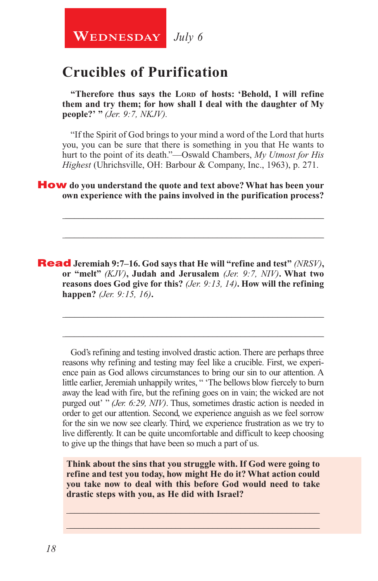**WEDNESDAY** July 6

# **Crucibles of Purification**

"Therefore thus says the LORD of hosts: 'Behold, I will refine **them and try them; for how shall I deal with the daughter of My people?' "** *(Jer. 9:7, NKJV).*

"If the Spirit of God brings to your mind a word of the Lord that hurts you, you can be sure that there is something in you that He wants to hurt to the point of its death."—Oswald Chambers, *My Utmost for His Highest* (Uhrichsville, OH: Barbour & Company, Inc., 1963), p. 271.

\_\_\_\_\_\_\_\_\_\_\_\_\_\_\_\_\_\_\_\_\_\_\_\_\_\_\_\_\_\_\_\_\_\_\_\_\_\_\_\_\_\_\_\_\_\_\_\_\_\_\_\_\_\_\_\_

\_\_\_\_\_\_\_\_\_\_\_\_\_\_\_\_\_\_\_\_\_\_\_\_\_\_\_\_\_\_\_\_\_\_\_\_\_\_\_\_\_\_\_\_\_\_\_\_\_\_\_\_\_\_\_\_

\_\_\_\_\_\_\_\_\_\_\_\_\_\_\_\_\_\_\_\_\_\_\_\_\_\_\_\_\_\_\_\_\_\_\_\_\_\_\_\_\_\_\_\_\_\_\_\_\_\_\_\_\_\_\_\_

\_\_\_\_\_\_\_\_\_\_\_\_\_\_\_\_\_\_\_\_\_\_\_\_\_\_\_\_\_\_\_\_\_\_\_\_\_\_\_\_\_\_\_\_\_\_\_\_\_\_\_\_\_\_\_\_

How **do you understand the quote and text above? What has been your own experience with the pains involved in the purification process?** 

Read **Jeremiah 9:7–16. God says that He will "refine and test"** *(NRSV)***, or "melt"** *(KJV)***, Judah and Jerusalem** *(Jer. 9:7, NIV)***. What two reasons does God give for this?** *(Jer. 9:13, 14)***. How will the refining happen?** *(Jer. 9:15, 16)***.**

God's refining and testing involved drastic action. There are perhaps three reasons why refining and testing may feel like a crucible. First, we experience pain as God allows circumstances to bring our sin to our attention. A little earlier, Jeremiah unhappily writes, " 'The bellows blow fiercely to burn away the lead with fire, but the refining goes on in vain; the wicked are not purged out' " *(Jer. 6:29, NIV)*. Thus, sometimes drastic action is needed in order to get our attention. Second, we experience anguish as we feel sorrow for the sin we now see clearly. Third, we experience frustration as we try to live differently. It can be quite uncomfortable and difficult to keep choosing to give up the things that have been so much a part of us.

**Think about the sins that you struggle with. If God were going to refine and test you today, how might He do it? What action could you take now to deal with this before God would need to take drastic steps with you, as He did with Israel?**

\_\_\_\_\_\_\_\_\_\_\_\_\_\_\_\_\_\_\_\_\_\_\_\_\_\_\_\_\_\_\_\_\_\_\_\_\_\_\_\_\_\_\_\_\_\_\_\_\_\_\_\_\_\_ \_\_\_\_\_\_\_\_\_\_\_\_\_\_\_\_\_\_\_\_\_\_\_\_\_\_\_\_\_\_\_\_\_\_\_\_\_\_\_\_\_\_\_\_\_\_\_\_\_\_\_\_\_\_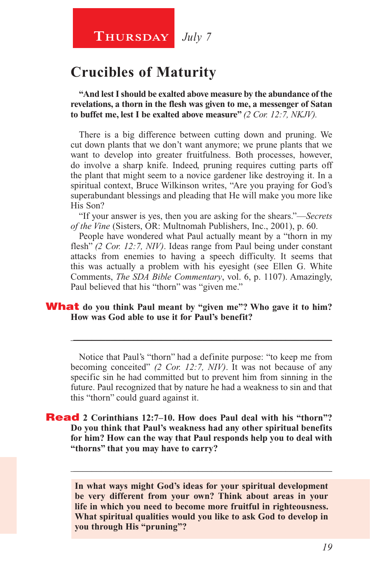### **Thursday** *July 7*

## **Crucibles of Maturity**

**"And lest I should be exalted above measure by the abundance of the revelations, a thorn in the flesh was given to me, a messenger of Satan to buffet me, lest I be exalted above measure"** *(2 Cor. 12:7, NKJV).*

There is a big difference between cutting down and pruning. We cut down plants that we don't want anymore; we prune plants that we want to develop into greater fruitfulness. Both processes, however, do involve a sharp knife. Indeed, pruning requires cutting parts off the plant that might seem to a novice gardener like destroying it. In a spiritual context, Bruce Wilkinson writes, "Are you praying for God's superabundant blessings and pleading that He will make you more like His Son?

"If your answer is yes, then you are asking for the shears."—*Secrets of the Vine* (Sisters, OR: Multnomah Publishers, Inc., 2001), p. 60.

People have wondered what Paul actually meant by a "thorn in my flesh" *(2 Cor. 12:7, NIV)*. Ideas range from Paul being under constant attacks from enemies to having a speech difficulty. It seems that this was actually a problem with his eyesight (see Ellen G. White Comments, *The SDA Bible Commentary*, vol. 6, p. 1107). Amazingly, Paul believed that his "thorn" was "given me."

#### **What** do you think Paul meant by "given me"? Who gave it to him? **How was God able to use it for Paul's benefit?**

Notice that Paul's "thorn" had a definite purpose: "to keep me from becoming conceited" *(2 Cor. 12:7, NIV)*. It was not because of any specific sin he had committed but to prevent him from sinning in the future. Paul recognized that by nature he had a weakness to sin and that this "thorn" could guard against it.

\_\_\_\_\_\_\_\_\_\_\_\_\_\_\_\_\_\_\_\_\_\_\_\_\_\_\_\_\_\_\_\_\_\_\_\_\_\_\_\_\_\_\_\_\_\_\_\_\_\_\_\_\_\_\_\_

#### Read **2 Corinthians 12:7–10. How does Paul deal with his "thorn"? Do you think that Paul's weakness had any other spiritual benefits for him? How can the way that Paul responds help you to deal with "thorns" that you may have to carry?**

**In what ways might God's ideas for your spiritual development be very different from your own? Think about areas in your life in which you need to become more fruitful in righteousness. What spiritual qualities would you like to ask God to develop in you through His "pruning"?** 

\_\_\_\_\_\_\_\_\_\_\_\_\_\_\_\_\_\_\_\_\_\_\_\_\_\_\_\_\_\_\_\_\_\_\_\_\_\_\_\_\_\_\_\_\_\_\_\_\_\_\_\_\_\_\_\_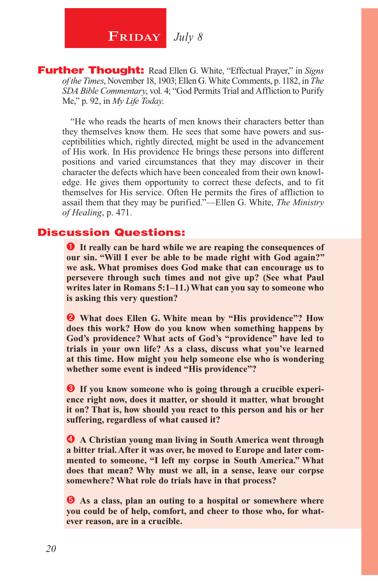**FRIDAY** July 8

Further Thought: Read Ellen G. White, "Effectual Prayer," in *Signs of the Times*, November 18, 1903; Ellen G. White Comments, p. 1182, in *The SDA Bible Commentary*, vol. 4; "God Permits Trial and Affliction to Purify Me," p. 92, in *My Life Today*.

"He who reads the hearts of men knows their characters better than they themselves know them. He sees that some have powers and susceptibilities which, rightly directed, might be used in the advancement of His work. In His providence He brings these persons into different positions and varied circumstances that they may discover in their character the defects which have been concealed from their own knowledge. He gives them opportunity to correct these defects, and to fit themselves for His service. Often He permits the fires of affliction to assail them that they may be purified."—Ellen G. White, *The Ministry of Healing*, p. 471.

#### Discussion Questions:

 **It really can be hard while we are reaping the consequences of our sin. "Will I ever be able to be made right with God again?" we ask. What promises does God make that can encourage us to persevere through such times and not give up? (See what Paul writes later in Romans 5:1–11.) What can you say to someone who is asking this very question?**

 **What does Ellen G. White mean by "His providence"? How does this work? How do you know when something happens by God's providence? What acts of God's "providence" have led to trials in your own life? As a class, discuss what you've learned at this time. How might you help someone else who is wondering whether some event is indeed "His providence"?**

 $\bullet$  If you know someone who is going through a crucible experi**ence right now, does it matter, or should it matter, what brought it on? That is, how should you react to this person and his or her suffering, regardless of what caused it?**

 **A Christian young man living in South America went through a bitter trial. After it was over, he moved to Europe and later commented to someone, "I left my corpse in South America." What does that mean? Why must we all, in a sense, leave our corpse somewhere? What role do trials have in that process?** 

 $\bullet$  As a class, plan an outing to a hospital or somewhere where **you could be of help, comfort, and cheer to those who, for whatever reason, are in a crucible.**